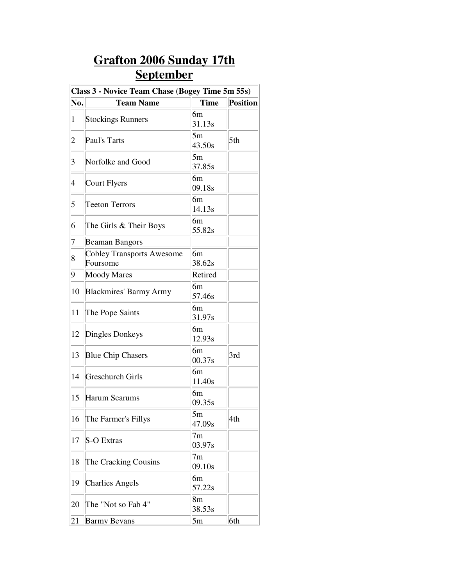## **Grafton 2006 Sunday 17th September**

| Class 3 - Novice Team Chase (Bogey Time 5m 55s) |                                              |                          |                 |  |
|-------------------------------------------------|----------------------------------------------|--------------------------|-----------------|--|
| No.                                             | <b>Team Name</b>                             | <b>Time</b>              | <b>Position</b> |  |
| $\mathbf{1}$                                    | <b>Stockings Runners</b>                     | 6m<br>31.13 <sub>s</sub> |                 |  |
| 2                                               | Paul's Tarts                                 | 5m<br>43.50s             | 5th             |  |
| 3                                               | Norfolke and Good                            | 5m<br>37.85s             |                 |  |
| 4                                               | Court Flyers                                 | 6m<br>09.18s             |                 |  |
| 5                                               | <b>Teeton Terrors</b>                        | 6m<br>14.13s             |                 |  |
| 6                                               | The Girls & Their Boys                       | 6m<br>55.82s             |                 |  |
| 7                                               | <b>Beaman Bangors</b>                        |                          |                 |  |
| 8                                               | <b>Cobley Transports Awesome</b><br>Foursome | 6m<br>38.62s             |                 |  |
| 9                                               | <b>Moody Mares</b>                           | Retired                  |                 |  |
| 10                                              | <b>Blackmires' Barmy Army</b>                | 6m<br>57.46s             |                 |  |
| 11                                              | The Pope Saints                              | 6m<br>31.97s             |                 |  |
| 12                                              | Dingles Donkeys                              | 6m<br>12.93s             |                 |  |
| 13                                              | <b>Blue Chip Chasers</b>                     | 6m<br>00.37s             | 3rd             |  |
| 14                                              | <b>Greschurch Girls</b>                      | 6m<br>11.40s             |                 |  |
| 15                                              | Harum Scarums                                | 6m<br>09.35s             |                 |  |
| 16                                              | The Farmer's Fillys                          | 5m<br>47.09s             | 4th             |  |
| 17                                              | S-O Extras                                   | 7m<br>03.97s             |                 |  |
| 18                                              | The Cracking Cousins                         | 7 <sub>m</sub><br>09.10s |                 |  |
| 19                                              | <b>Charlies Angels</b>                       | 6m<br>57.22s             |                 |  |
| 20                                              | The "Not so Fab 4"                           | 8m<br>38.53s             |                 |  |
| 21                                              | <b>Barmy Bevans</b>                          | 5m                       | 6th             |  |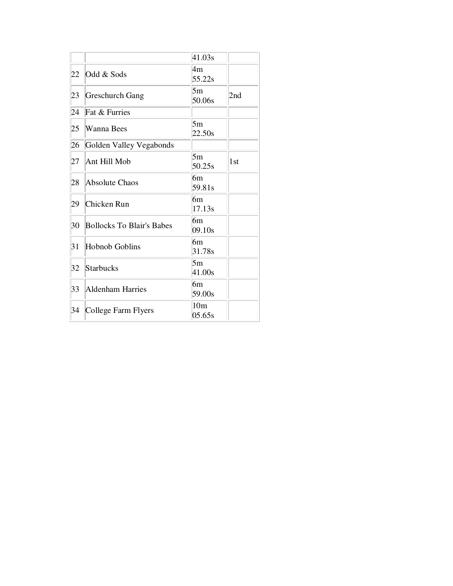|    |                                  | 41.03s                    |     |
|----|----------------------------------|---------------------------|-----|
| 22 | Odd & Sods                       | 4m<br>55.22s              |     |
| 23 | Greschurch Gang                  | 5m<br>50.06s              | 2nd |
| 24 | Fat & Furries                    |                           |     |
| 25 | Wanna Bees                       | 5m<br>22.50s              |     |
| 26 | Golden Valley Vegabonds          |                           |     |
| 27 | Ant Hill Mob                     | 5m<br>50.25s              | 1st |
| 28 | Absolute Chaos                   | 6m<br>59.81s              |     |
| 29 | Chicken Run                      | 6m<br>17.13s              |     |
| 30 | <b>Bollocks To Blair's Babes</b> | 6m<br>09.10s              |     |
| 31 | Hobnob Goblins                   | 6m<br>31.78s              |     |
| 32 | <b>Starbucks</b>                 | 5m<br>41.00s              |     |
| 33 | Aldenham Harries                 | 6m<br>59.00s              |     |
| 34 | College Farm Flyers              | 10 <sub>m</sub><br>05.65s |     |